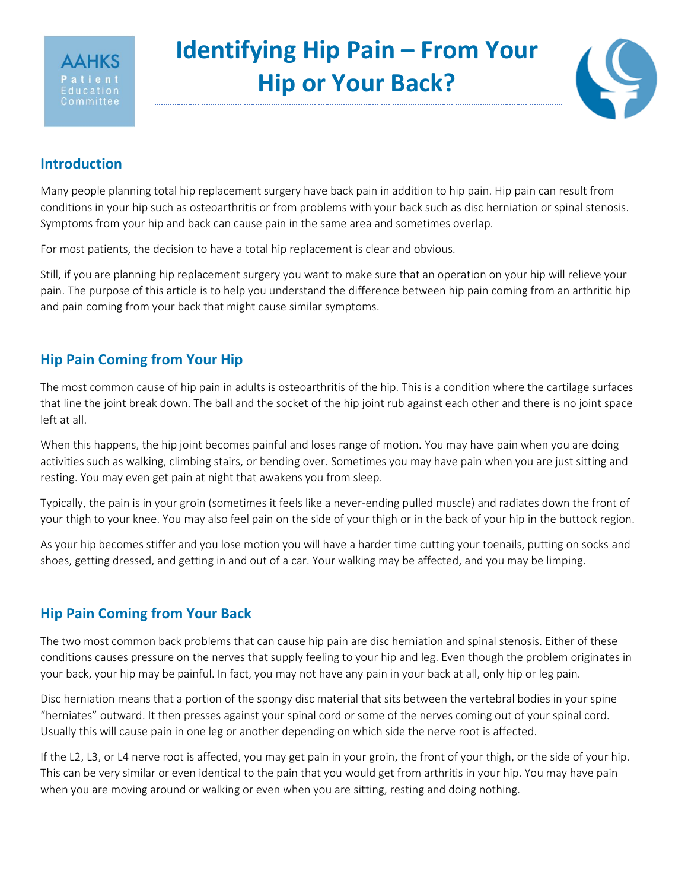

# **Identifying Hip Pain – From Your Hip or Your Back?**



### **Introduction**

Many people planning total hip replacement surgery have back pain in addition to hip pain. Hip pain can result from conditions in your hip such as osteoarthritis or from problems with your back such as disc herniation or spinal stenosis. Symptoms from your hip and back can cause pain in the same area and sometimes overlap.

For most patients, the decision to have a total hip replacement is clear and obvious.

Still, if you are planning hip replacement surgery you want to make sure that an operation on your hip will relieve your pain. The purpose of this article is to help you understand the difference between hip pain coming from an arthritic hip and pain coming from your back that might cause similar symptoms.

## **Hip Pain Coming from Your Hip**

The most common cause of hip pain in adults is osteoarthritis of the hip. This is a condition where the cartilage surfaces that line the joint break down. The ball and the socket of the hip joint rub against each other and there is no joint space left at all.

When this happens, the hip joint becomes painful and loses range of motion. You may have pain when you are doing activities such as walking, climbing stairs, or bending over. Sometimes you may have pain when you are just sitting and resting. You may even get pain at night that awakens you from sleep.

Typically, the pain is in your groin (sometimes it feels like a never-ending pulled muscle) and radiates down the front of your thigh to your knee. You may also feel pain on the side of your thigh or in the back of your hip in the buttock region.

As your hip becomes stiffer and you lose motion you will have a harder time cutting your toenails, putting on socks and shoes, getting dressed, and getting in and out of a car. Your walking may be affected, and you may be limping.

# **Hip Pain Coming from Your Back**

The two most common back problems that can cause hip pain are disc herniation and spinal stenosis. Either of these conditions causes pressure on the nerves that supply feeling to your hip and leg. Even though the problem originates in your back, your hip may be painful. In fact, you may not have any pain in your back at all, only hip or leg pain.

Disc herniation means that a portion of the spongy disc material that sits between the vertebral bodies in your spine "herniates" outward. It then presses against your spinal cord or some of the nerves coming out of your spinal cord. Usually this will cause pain in one leg or another depending on which side the nerve root is affected.

If the L2, L3, or L4 nerve root is affected, you may get pain in your groin, the front of your thigh, or the side of your hip. This can be very similar or even identical to the pain that you would get from arthritis in your hip. You may have pain when you are moving around or walking or even when you are sitting, resting and doing nothing.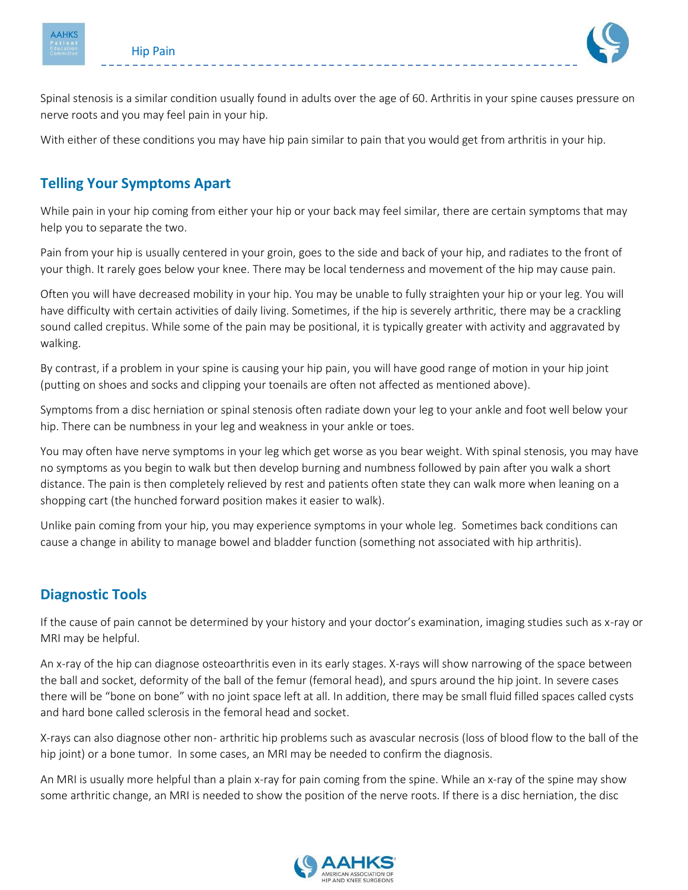

Spinal stenosis is a similar condition usually found in adults over the age of 60. Arthritis in your spine causes pressure on nerve roots and you may feel pain in your hip.

With either of these conditions you may have hip pain similar to pain that you would get from arthritis in your hip.

# **Telling Your Symptoms Apart**

While pain in your hip coming from either your hip or your back may feel similar, there are certain symptoms that may help you to separate the two.

Pain from your hip is usually centered in your groin, goes to the side and back of your hip, and radiates to the front of your thigh. It rarely goes below your knee. There may be local tenderness and movement of the hip may cause pain.

Often you will have decreased mobility in your hip. You may be unable to fully straighten your hip or your leg. You will have difficulty with certain activities of daily living. Sometimes, if the hip is severely arthritic, there may be a crackling sound called crepitus. While some of the pain may be positional, it is typically greater with activity and aggravated by walking.

By contrast, if a problem in your spine is causing your hip pain, you will have good range of motion in your hip joint (putting on shoes and socks and clipping your toenails are often not affected as mentioned above).

Symptoms from a disc herniation or spinal stenosis often radiate down your leg to your ankle and foot well below your hip. There can be numbness in your leg and weakness in your ankle or toes.

You may often have nerve symptoms in your leg which get worse as you bear weight. With spinal stenosis, you may have no symptoms as you begin to walk but then develop burning and numbness followed by pain after you walk a short distance. The pain is then completely relieved by rest and patients often state they can walk more when leaning on a shopping cart (the hunched forward position makes it easier to walk).

Unlike pain coming from your hip, you may experience symptoms in your whole leg. Sometimes back conditions can cause a change in ability to manage bowel and bladder function (something not associated with hip arthritis).

### **Diagnostic Tools**

If the cause of pain cannot be determined by your history and your doctor's examination, imaging studies such as x-ray or MRI may be helpful.

An x-ray of the hip can diagnose osteoarthritis even in its early stages. X-rays will show narrowing of the space between the ball and socket, deformity of the ball of the femur (femoral head), and spurs around the hip joint. In severe cases there will be "bone on bone" with no joint space left at all. In addition, there may be small fluid filled spaces called cysts and hard bone called sclerosis in the femoral head and socket.

X-rays can also diagnose other non- arthritic hip problems such as avascular necrosis (loss of blood flow to the ball of the hip joint) or a bone tumor. In some cases, an MRI may be needed to confirm the diagnosis.

An MRI is usually more helpful than a plain x-ray for pain coming from the spine. While an x-ray of the spine may show some arthritic change, an MRI is needed to show the position of the nerve roots. If there is a disc herniation, the disc

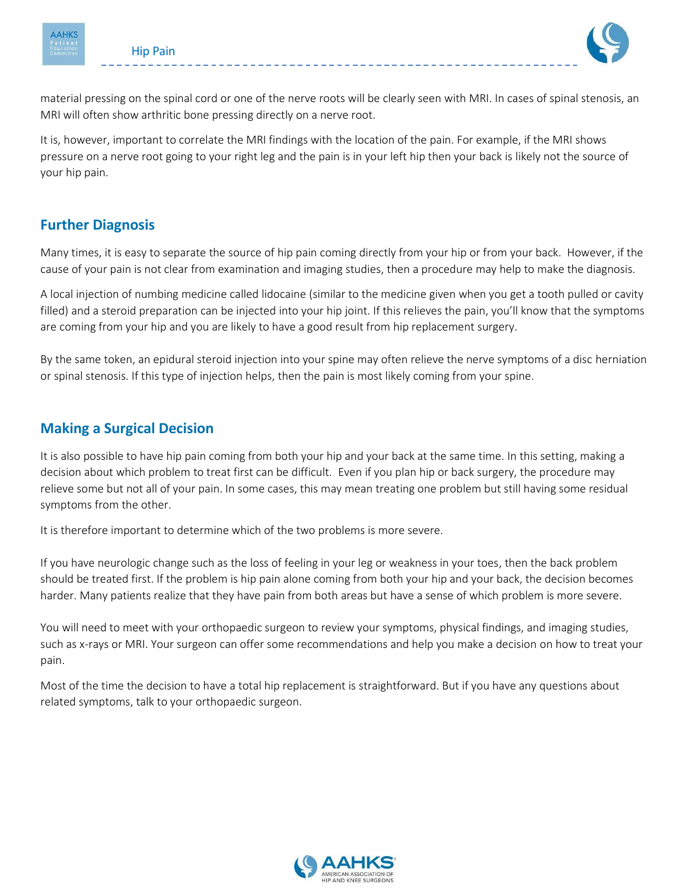

material pressing on the spinal cord or one of the nerve roots will be clearly seen with MRI. In cases of spinal stenosis, an MRI will often show arthritic bone pressing directly on a nerve root.

It is, however, important to correlate the MRI findings with the location of the pain. For example, if the MRI shows pressure on a nerve root going to your right leg and the pain is in your left hip then your back is likely not the source of your hip pain.

### **Further Diagnosis**

Many times, it is easy to separate the source of hip pain coming directly from your hip or from your back. However, if the cause of your pain is not clear from examination and imaging studies, then a procedure may help to make the diagnosis.

A local injection of numbing medicine called lidocaine (similar to the medicine given when you get a tooth pulled or cavity filled) and a steroid preparation can be injected into your hip joint. If this relieves the pain, you'll know that the symptoms are coming from your hip and you are likely to have a good result from hip replacement surgery.

By the same token, an epidural steroid injection into your spine may often relieve the nerve symptoms of a disc herniation or spinal stenosis. If this type of injection helps, then the pain is most likely coming from your spine.

## **Making a Surgical Decision**

It is also possible to have hip pain coming from both your hip and your back at the same time. In this setting, making a decision about which problem to treat first can be difficult. Even if you plan hip or back surgery, the procedure may relieve some but not all of your pain. In some cases, this may mean treating one problem but still having some residual symptoms from the other.

It is therefore important to determine which of the two problems is more severe.

If you have neurologic change such as the loss of feeling in your leg or weakness in your toes, then the back problem should be treated first. If the problem is hip pain alone coming from both your hip and your back, the decision becomes harder. Many patients realize that they have pain from both areas but have a sense of which problem is more severe.

You will need to meet with your orthopaedic surgeon to review your symptoms, physical findings, and imaging studies, such as x-rays or MRI. Your surgeon can offer some recommendations and help you make a decision on how to treat your pain.

Most of the time the decision to have a total hip replacement is straightforward. But if you have any questions about related symptoms, talk to your orthopaedic surgeon.